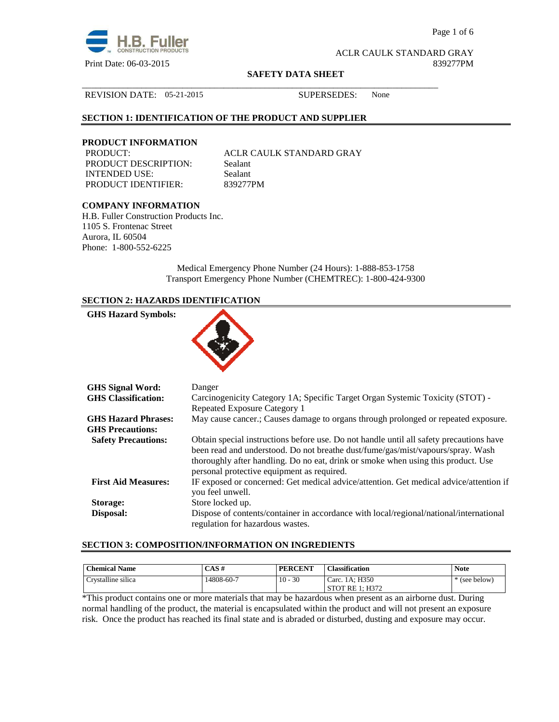

Page 1 of 6

ACLR CAULK STANDARD GRAY Print Date: 06-03-2015 839277PM

#### **SAFETY DATA SHEET**

\_\_\_\_\_\_\_\_\_\_\_\_\_\_\_\_\_\_\_\_\_\_\_\_\_\_\_\_\_\_\_\_\_\_\_\_\_\_\_\_\_\_\_\_\_\_\_\_\_\_\_\_\_\_\_\_\_\_\_\_\_\_\_\_\_\_\_\_\_\_\_\_\_\_\_\_\_\_

#### REVISION DATE: 05-21-2015 SUPERSEDES: None

# **SECTION 1: IDENTIFICATION OF THE PRODUCT AND SUPPLIER**

# **PRODUCT INFORMATION**

PRODUCT DESCRIPTION: Sealant INTENDED USE: Sealant PRODUCT IDENTIFIER: 839277PM

ACLR CAULK STANDARD GRAY

# **COMPANY INFORMATION**

H.B. Fuller Construction Products Inc. 1105 S. Frontenac Street Aurora, IL 60504 Phone: 1-800-552-6225

> Medical Emergency Phone Number (24 Hours): 1-888-853-1758 Transport Emergency Phone Number (CHEMTREC): 1-800-424-9300

# **SECTION 2: HAZARDS IDENTIFICATION**

| <b>GHS Hazard Symbols:</b>                            |                                                                                                                                                                                                                                                                                                               |
|-------------------------------------------------------|---------------------------------------------------------------------------------------------------------------------------------------------------------------------------------------------------------------------------------------------------------------------------------------------------------------|
| <b>GHS Signal Word:</b>                               | Danger                                                                                                                                                                                                                                                                                                        |
| <b>GHS</b> Classification:                            | Carcinogenicity Category 1A; Specific Target Organ Systemic Toxicity (STOT) -<br>Repeated Exposure Category 1                                                                                                                                                                                                 |
| <b>GHS Hazard Phrases:</b><br><b>GHS Precautions:</b> | May cause cancer.; Causes damage to organs through prolonged or repeated exposure.                                                                                                                                                                                                                            |
| <b>Safety Precautions:</b>                            | Obtain special instructions before use. Do not handle until all safety precautions have<br>been read and understood. Do not breathe dust/fume/gas/mist/vapours/spray. Wash<br>thoroughly after handling. Do no eat, drink or smoke when using this product. Use<br>personal protective equipment as required. |
| <b>First Aid Measures:</b>                            | IF exposed or concerned: Get medical advice/attention. Get medical advice/attention if<br>you feel unwell.                                                                                                                                                                                                    |
| Storage:                                              | Store locked up.                                                                                                                                                                                                                                                                                              |
| Disposal:                                             | Dispose of contents/container in accordance with local/regional/national/international<br>regulation for hazardous wastes.                                                                                                                                                                                    |

# **SECTION 3: COMPOSITION/INFORMATION ON INGREDIENTS**

| <b>Chemical Name</b> | CAS#       | <b>PERCENT</b> | <b>Classification</b>     | <b>Note</b>   |
|----------------------|------------|----------------|---------------------------|---------------|
| Crystalline silica   | 14808-60-7 | $10 - 30$      | Carc. 1A; H350            | * (see below) |
|                      |            |                | 1: H372<br><b>STOT RE</b> |               |

\*This product contains one or more materials that may be hazardous when present as an airborne dust. During normal handling of the product, the material is encapsulated within the product and will not present an exposure risk. Once the product has reached its final state and is abraded or disturbed, dusting and exposure may occur.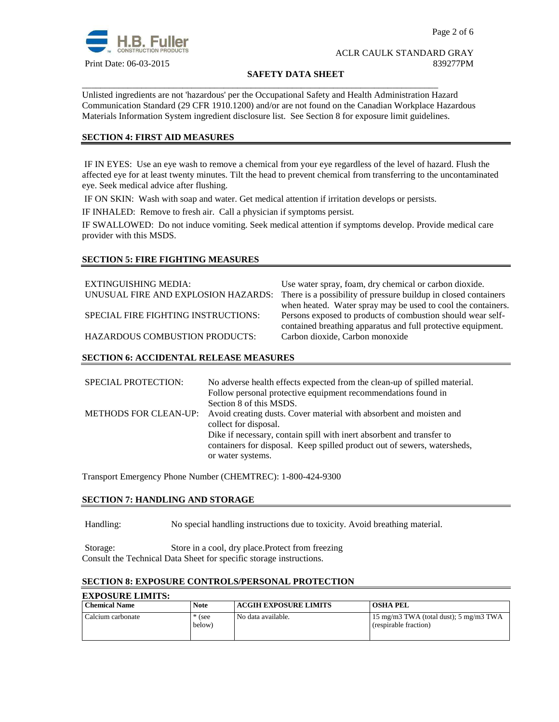

#### **SAFETY DATA SHEET**

Unlisted ingredients are not 'hazardous' per the Occupational Safety and Health Administration Hazard Communication Standard (29 CFR 1910.1200) and/or are not found on the Canadian Workplace Hazardous Materials Information System ingredient disclosure list. See Section 8 for exposure limit guidelines.

\_\_\_\_\_\_\_\_\_\_\_\_\_\_\_\_\_\_\_\_\_\_\_\_\_\_\_\_\_\_\_\_\_\_\_\_\_\_\_\_\_\_\_\_\_\_\_\_\_\_\_\_\_\_\_\_\_\_\_\_\_\_\_\_\_\_\_\_\_\_\_\_\_\_\_\_\_\_

# **SECTION 4: FIRST AID MEASURES**

 IF IN EYES: Use an eye wash to remove a chemical from your eye regardless of the level of hazard. Flush the affected eye for at least twenty minutes. Tilt the head to prevent chemical from transferring to the uncontaminated eye. Seek medical advice after flushing.

IF ON SKIN: Wash with soap and water. Get medical attention if irritation develops or persists.

IF INHALED: Remove to fresh air. Call a physician if symptoms persist.

IF SWALLOWED:Do not induce vomiting. Seek medical attention if symptoms develop. Provide medical care provider with this MSDS.

# **SECTION 5: FIRE FIGHTING MEASURES**

| EXTINGUISHING MEDIA:                  | Use water spray, foam, dry chemical or carbon dioxide.          |
|---------------------------------------|-----------------------------------------------------------------|
| UNUSUAL FIRE AND EXPLOSION HAZARDS:   | There is a possibility of pressure buildup in closed containers |
|                                       | when heated. Water spray may be used to cool the containers.    |
| SPECIAL FIRE FIGHTING INSTRUCTIONS:   | Persons exposed to products of combustion should wear self-     |
|                                       | contained breathing apparatus and full protective equipment.    |
| <b>HAZARDOUS COMBUSTION PRODUCTS:</b> | Carbon dioxide, Carbon monoxide                                 |
|                                       |                                                                 |

# **SECTION 6: ACCIDENTAL RELEASE MEASURES**

| No adverse health effects expected from the clean-up of spilled material. |
|---------------------------------------------------------------------------|
| Follow personal protective equipment recommendations found in             |
| Section 8 of this MSDS.                                                   |
| Avoid creating dusts. Cover material with absorbent and moisten and       |
| collect for disposal.                                                     |
| Dike if necessary, contain spill with inert absorbent and transfer to     |
| containers for disposal. Keep spilled product out of sewers, watersheds,  |
| or water systems.                                                         |
|                                                                           |

Transport Emergency Phone Number (CHEMTREC): 1-800-424-9300

# **SECTION 7: HANDLING AND STORAGE**

Handling: No special handling instructions due to toxicity. Avoid breathing material.

Storage: Store in a cool, dry place.Protect from freezing Consult the Technical Data Sheet for specific storage instructions.

# **SECTION 8: EXPOSURE CONTROLS/PERSONAL PROTECTION**

| <b>EXPOSURE LIMITS:</b> |                    |                              |                                                                 |
|-------------------------|--------------------|------------------------------|-----------------------------------------------------------------|
| <b>Chemical Name</b>    | <b>Note</b>        | <b>ACGIH EXPOSURE LIMITS</b> | <b>OSHA PEL</b>                                                 |
| Calcium carbonate       | $*$ (see<br>below) | No data available.           | 15 mg/m3 TWA (total dust); 5 mg/m3 TWA<br>(respirable fraction) |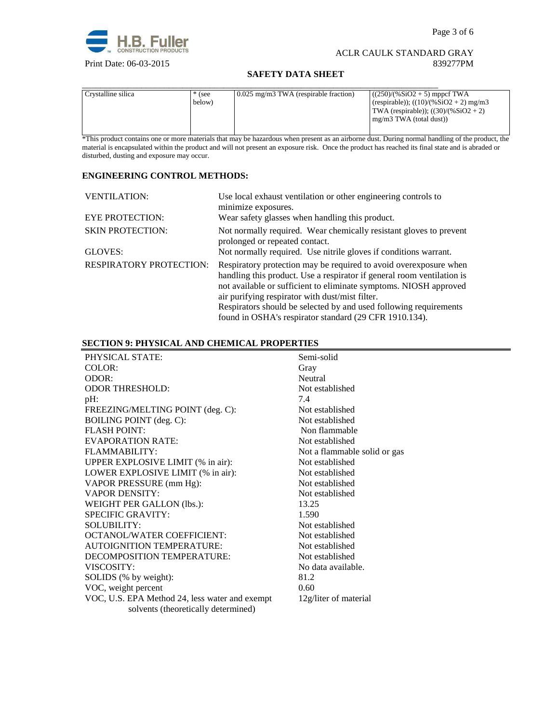

Page 3 of 6

# ACLR CAULK STANDARD GRAY Print Date: 06-03-2015 839277PM

# **SAFETY DATA SHEET**

| Crystalline silica | $*$ (see<br>below) | $0.025$ mg/m3 TWA (respirable fraction) | $(250)/(%SiO2 + 5)$ mppcf TWA<br>(respirable)); $((10)/(%SiO2 + 2)$ mg/m3<br>TWA (respirable)); $((30)/(%SiO2 + 2))$<br>mg/m3 TWA (total dust)) |
|--------------------|--------------------|-----------------------------------------|-------------------------------------------------------------------------------------------------------------------------------------------------|

\*This product contains one or more materials that may be hazardous when present as an airborne dust. During normal handling of the product, the material is encapsulated within the product and will not present an exposure risk. Once the product has reached its final state and is abraded or disturbed, dusting and exposure may occur.

# **ENGINEERING CONTROL METHODS:**

| <b>VENTILATION:</b>            | Use local exhaust ventilation or other engineering controls to<br>minimize exposures.                                                                                                                                                                                                                                                                                                               |
|--------------------------------|-----------------------------------------------------------------------------------------------------------------------------------------------------------------------------------------------------------------------------------------------------------------------------------------------------------------------------------------------------------------------------------------------------|
| <b>EYE PROTECTION:</b>         | Wear safety glasses when handling this product.                                                                                                                                                                                                                                                                                                                                                     |
| <b>SKIN PROTECTION:</b>        | Not normally required. Wear chemically resistant gloves to prevent<br>prolonged or repeated contact.                                                                                                                                                                                                                                                                                                |
| GLOVES:                        | Not normally required. Use nitrile gloves if conditions warrant.                                                                                                                                                                                                                                                                                                                                    |
| <b>RESPIRATORY PROTECTION:</b> | Respiratory protection may be required to avoid over exposure when<br>handling this product. Use a respirator if general room ventilation is<br>not available or sufficient to eliminate symptoms. NIOSH approved<br>air purifying respirator with dust/mist filter.<br>Respirators should be selected by and used following requirements<br>found in OSHA's respirator standard (29 CFR 1910.134). |

# **SECTION 9: PHYSICAL AND CHEMICAL PROPERTIES**

| PHYSICAL STATE:                                | Semi-solid                   |
|------------------------------------------------|------------------------------|
| COLOR:                                         | Gray                         |
| ODOR:                                          | Neutral                      |
| <b>ODOR THRESHOLD:</b>                         | Not established              |
| pH:                                            | 7.4                          |
| FREEZING/MELTING POINT (deg. C):               | Not established              |
| <b>BOILING POINT</b> (deg. C):                 | Not established              |
| <b>FLASH POINT:</b>                            | Non flammable                |
| <b>EVAPORATION RATE:</b>                       | Not established              |
| FLAMMABILITY:                                  | Not a flammable solid or gas |
| UPPER EXPLOSIVE LIMIT (% in air):              | Not established              |
| LOWER EXPLOSIVE LIMIT (% in air):              | Not established              |
| VAPOR PRESSURE (mm Hg):                        | Not established              |
| <b>VAPOR DENSITY:</b>                          | Not established              |
| WEIGHT PER GALLON (lbs.):                      | 13.25                        |
| <b>SPECIFIC GRAVITY:</b>                       | 1.590                        |
| <b>SOLUBILITY:</b>                             | Not established              |
| <b>OCTANOL/WATER COEFFICIENT:</b>              | Not established              |
| <b>AUTOIGNITION TEMPERATURE:</b>               | Not established              |
| DECOMPOSITION TEMPERATURE:                     | Not established              |
| VISCOSITY:                                     | No data available.           |
| SOLIDS (% by weight):                          | 81.2                         |
| VOC, weight percent                            | 0.60                         |
| VOC, U.S. EPA Method 24, less water and exempt | 12g/liter of material        |
| solvents (theoretically determined)            |                              |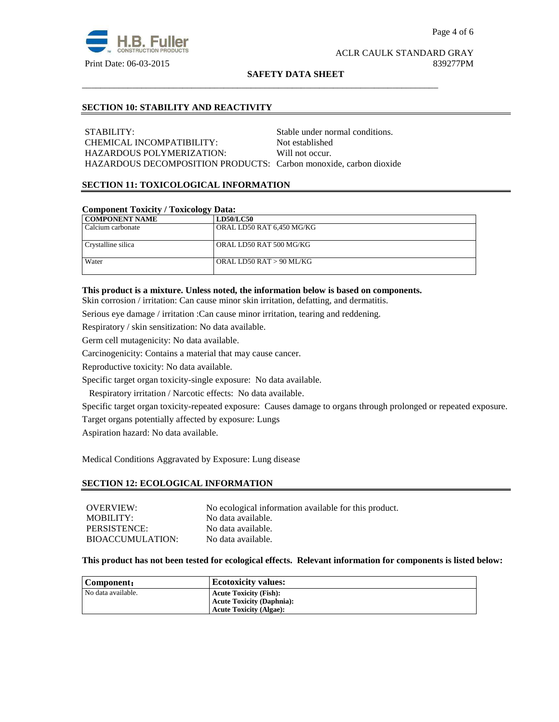

#### **SAFETY DATA SHEET**

# **SECTION 10: STABILITY AND REACTIVITY**

STABILITY: Stable under normal conditions. CHEMICAL INCOMPATIBILITY: Not established HAZARDOUS POLYMERIZATION: Will not occur. HAZARDOUS DECOMPOSITION PRODUCTS: Carbon monoxide, carbon dioxide

\_\_\_\_\_\_\_\_\_\_\_\_\_\_\_\_\_\_\_\_\_\_\_\_\_\_\_\_\_\_\_\_\_\_\_\_\_\_\_\_\_\_\_\_\_\_\_\_\_\_\_\_\_\_\_\_\_\_\_\_\_\_\_\_\_\_\_\_\_\_\_\_\_\_\_\_\_\_

# **SECTION 11: TOXICOLOGICAL INFORMATION**

# **Component Toxicity / Toxicology Data:**

| ິ<br><b>COMPONENT NAME</b> | <b>LD50/LC50</b>          |
|----------------------------|---------------------------|
| Calcium carbonate          | ORAL LD50 RAT 6,450 MG/KG |
| Crystalline silica         | ORAL LD50 RAT 500 MG/KG   |
| Water                      | ORAL LD50 RAT > 90 ML/KG  |

# **This product is a mixture. Unless noted, the information below is based on components.**

Skin corrosion / irritation: Can cause minor skin irritation, defatting, and dermatitis.

Serious eye damage / irritation :Can cause minor irritation, tearing and reddening.

Respiratory / skin sensitization: No data available.

Germ cell mutagenicity: No data available.

Carcinogenicity: Contains a material that may cause cancer.

Reproductive toxicity: No data available.

Specific target organ toxicity-single exposure:No data available.

Respiratory irritation / Narcotic effects: No data available.

Specific target organ toxicity-repeated exposure:Causes damage to organs through prolonged or repeated exposure.

Target organs potentially affected by exposure: Lungs

Aspiration hazard: No data available.

Medical Conditions Aggravated by Exposure: Lung disease

#### **SECTION 12: ECOLOGICAL INFORMATION**

| No ecological information available for this product. |
|-------------------------------------------------------|
| No data available.                                    |
| No data available.                                    |
| No data available.                                    |
|                                                       |

#### **This product has not been tested for ecological effects. Relevant information for components is listed below:**

| Component:         | <b>Ecotoxicity values:</b>       |
|--------------------|----------------------------------|
| No data available. | <b>Acute Toxicity (Fish):</b>    |
|                    | <b>Acute Toxicity (Daphnia):</b> |
|                    | <b>Acute Toxicity (Algae):</b>   |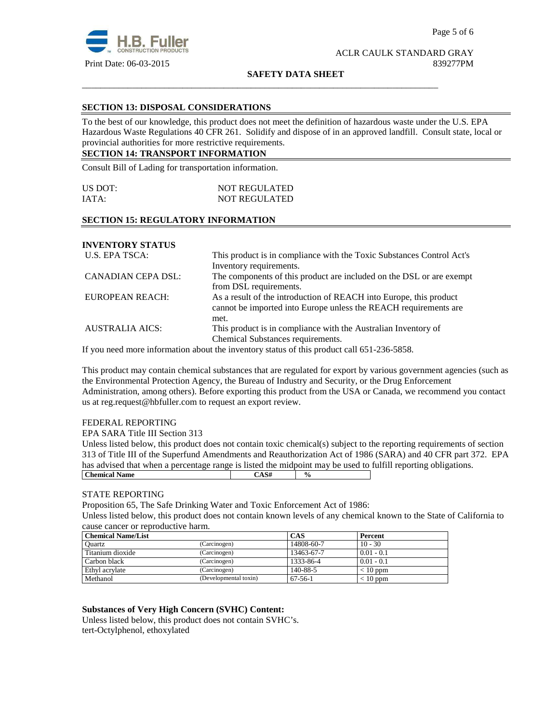

**SAFETY DATA SHEET**

\_\_\_\_\_\_\_\_\_\_\_\_\_\_\_\_\_\_\_\_\_\_\_\_\_\_\_\_\_\_\_\_\_\_\_\_\_\_\_\_\_\_\_\_\_\_\_\_\_\_\_\_\_\_\_\_\_\_\_\_\_\_\_\_\_\_\_\_\_\_\_\_\_\_\_\_\_\_

# **SECTION 13: DISPOSAL CONSIDERATIONS**

To the best of our knowledge, this product does not meet the definition of hazardous waste under the U.S. EPA Hazardous Waste Regulations 40 CFR 261. Solidify and dispose of in an approved landfill. Consult state, local or provincial authorities for more restrictive requirements.

# **SECTION 14: TRANSPORT INFORMATION**

Consult Bill of Lading for transportation information.

| US DOT: | <b>NOT REGULATED</b> |
|---------|----------------------|
| IATA:   | <b>NOT REGULATED</b> |

# **SECTION 15: REGULATORY INFORMATION**

**INVENTORY STATUS** 

| U.S. EPA TSCA:         | This product is in compliance with the Toxic Substances Control Act's |  |  |
|------------------------|-----------------------------------------------------------------------|--|--|
|                        | Inventory requirements.                                               |  |  |
| CANADIAN CEPA DSL:     | The components of this product are included on the DSL or are exempt  |  |  |
|                        | from DSL requirements.                                                |  |  |
| EUROPEAN REACH:        | As a result of the introduction of REACH into Europe, this product    |  |  |
|                        | cannot be imported into Europe unless the REACH requirements are      |  |  |
|                        | met.                                                                  |  |  |
| <b>AUSTRALIA AICS:</b> | This product is in compliance with the Australian Inventory of        |  |  |
|                        | Chemical Substances requirements.                                     |  |  |

If you need more information about the inventory status of this product call 651-236-5858.

This product may contain chemical substances that are regulated for export by various government agencies (such as the Environmental Protection Agency, the Bureau of Industry and Security, or the Drug Enforcement Administration, among others). Before exporting this product from the USA or Canada, we recommend you contact us at reg.request@hbfuller.com to request an export review.

# FEDERAL REPORTING

EPA SARA Title III Section 313

Unless listed below, this product does not contain toxic chemical(s) subject to the reporting requirements of section 313 of Title III of the Superfund Amendments and Reauthorization Act of 1986 (SARA) and 40 CFR part 372. EPA has advised that when a percentage range is listed the midpoint may be used to fulfill reporting obligations. **Chemical Name**  $\qquad \qquad$   $\qquad \qquad$   $\qquad \qquad$   $\qquad \qquad$   $\qquad \qquad$   $\qquad \qquad$   $\qquad \qquad$   $\qquad \qquad$   $\qquad \qquad$   $\qquad \qquad$   $\qquad \qquad$   $\qquad \qquad$   $\qquad \qquad$   $\qquad \qquad$   $\qquad \qquad$   $\qquad \qquad$   $\qquad \qquad$   $\qquad \qquad$   $\qquad \qquad$   $\qquad \qquad$   $\qquad \qquad$   $\qquad \qquad$   $\qquad \qquad$ 

# STATE REPORTING

Proposition 65, The Safe Drinking Water and Toxic Enforcement Act of 1986:

Unless listed below, this product does not contain known levels of any chemical known to the State of California to cause cancer or reproductive harm.

| <b>Chemical Name/List</b> |                       | <b>CAS</b> | Percent      |
|---------------------------|-----------------------|------------|--------------|
| Ouartz                    | (Carcinogen)          | 14808-60-7 | $10 - 30$    |
| Titanium dioxide          | (Carcinogen)          | 13463-67-7 | $0.01 - 0.1$ |
| Carbon black              | (Carcinogen)          | 1333-86-4  | $0.01 - 0.1$ |
| Ethyl acrylate            | (Carcinogen)          | 140-88-5   | $< 10$ ppm   |
| Methanol                  | (Developmental toxin) | $67-56-1$  | $< 10$ ppm   |

# **Substances of Very High Concern (SVHC) Content:**

Unless listed below, this product does not contain SVHC's. tert-Octylphenol, ethoxylated